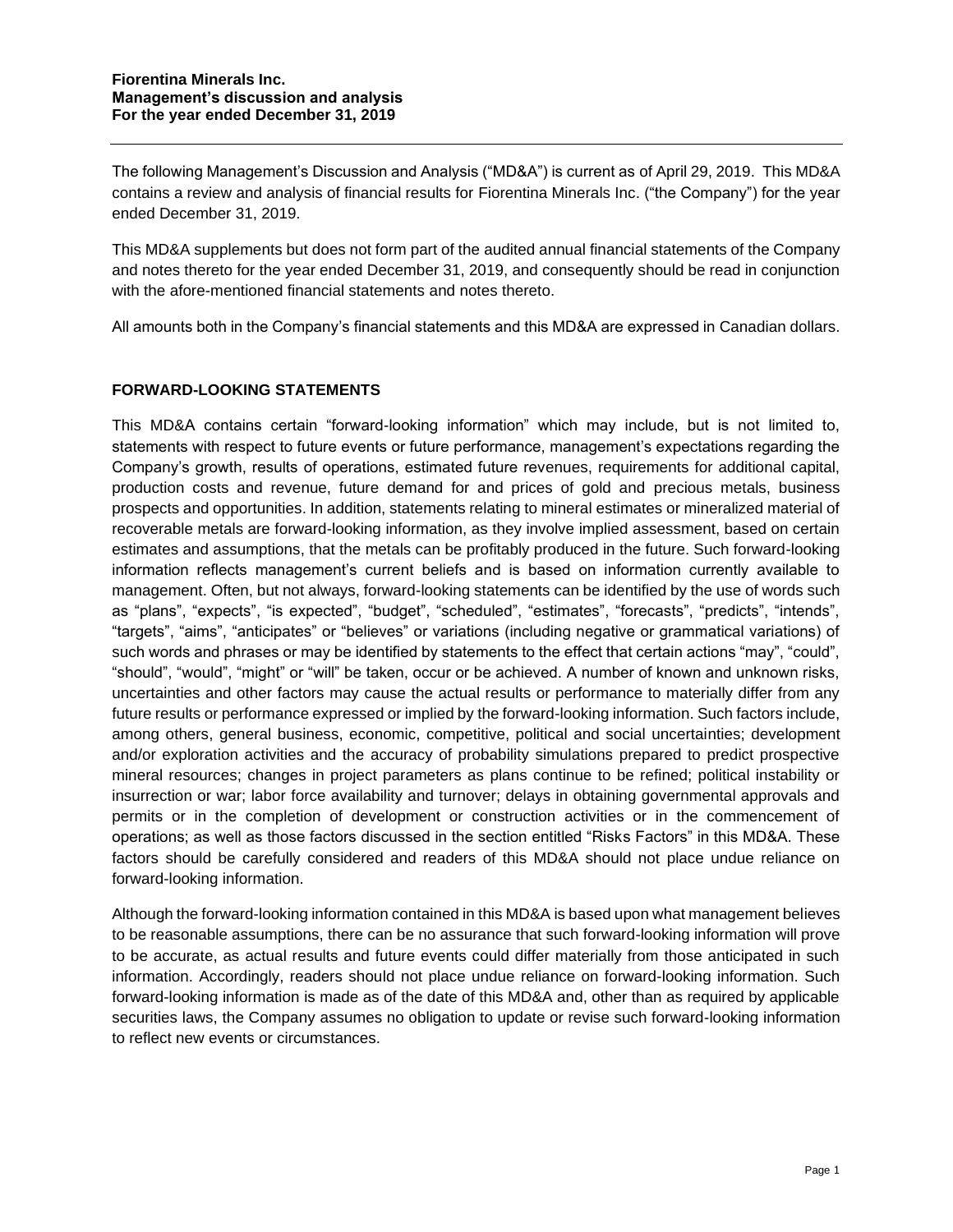The following Management's Discussion and Analysis ("MD&A") is current as of April 29, 2019. This MD&A contains a review and analysis of financial results for Fiorentina Minerals Inc. ("the Company") for the year ended December 31, 2019.

This MD&A supplements but does not form part of the audited annual financial statements of the Company and notes thereto for the year ended December 31, 2019, and consequently should be read in conjunction with the afore-mentioned financial statements and notes thereto.

All amounts both in the Company's financial statements and this MD&A are expressed in Canadian dollars.

## **FORWARD-LOOKING STATEMENTS**

This MD&A contains certain "forward-looking information" which may include, but is not limited to, statements with respect to future events or future performance, management's expectations regarding the Company's growth, results of operations, estimated future revenues, requirements for additional capital, production costs and revenue, future demand for and prices of gold and precious metals, business prospects and opportunities. In addition, statements relating to mineral estimates or mineralized material of recoverable metals are forward-looking information, as they involve implied assessment, based on certain estimates and assumptions, that the metals can be profitably produced in the future. Such forward-looking information reflects management's current beliefs and is based on information currently available to management. Often, but not always, forward-looking statements can be identified by the use of words such as "plans", "expects", "is expected", "budget", "scheduled", "estimates", "forecasts", "predicts", "intends", "targets", "aims", "anticipates" or "believes" or variations (including negative or grammatical variations) of such words and phrases or may be identified by statements to the effect that certain actions "may", "could", "should", "would", "might" or "will" be taken, occur or be achieved. A number of known and unknown risks, uncertainties and other factors may cause the actual results or performance to materially differ from any future results or performance expressed or implied by the forward-looking information. Such factors include, among others, general business, economic, competitive, political and social uncertainties; development and/or exploration activities and the accuracy of probability simulations prepared to predict prospective mineral resources; changes in project parameters as plans continue to be refined; political instability or insurrection or war; labor force availability and turnover; delays in obtaining governmental approvals and permits or in the completion of development or construction activities or in the commencement of operations; as well as those factors discussed in the section entitled "Risks Factors" in this MD&A. These factors should be carefully considered and readers of this MD&A should not place undue reliance on forward-looking information.

Although the forward-looking information contained in this MD&A is based upon what management believes to be reasonable assumptions, there can be no assurance that such forward-looking information will prove to be accurate, as actual results and future events could differ materially from those anticipated in such information. Accordingly, readers should not place undue reliance on forward-looking information. Such forward-looking information is made as of the date of this MD&A and, other than as required by applicable securities laws, the Company assumes no obligation to update or revise such forward-looking information to reflect new events or circumstances.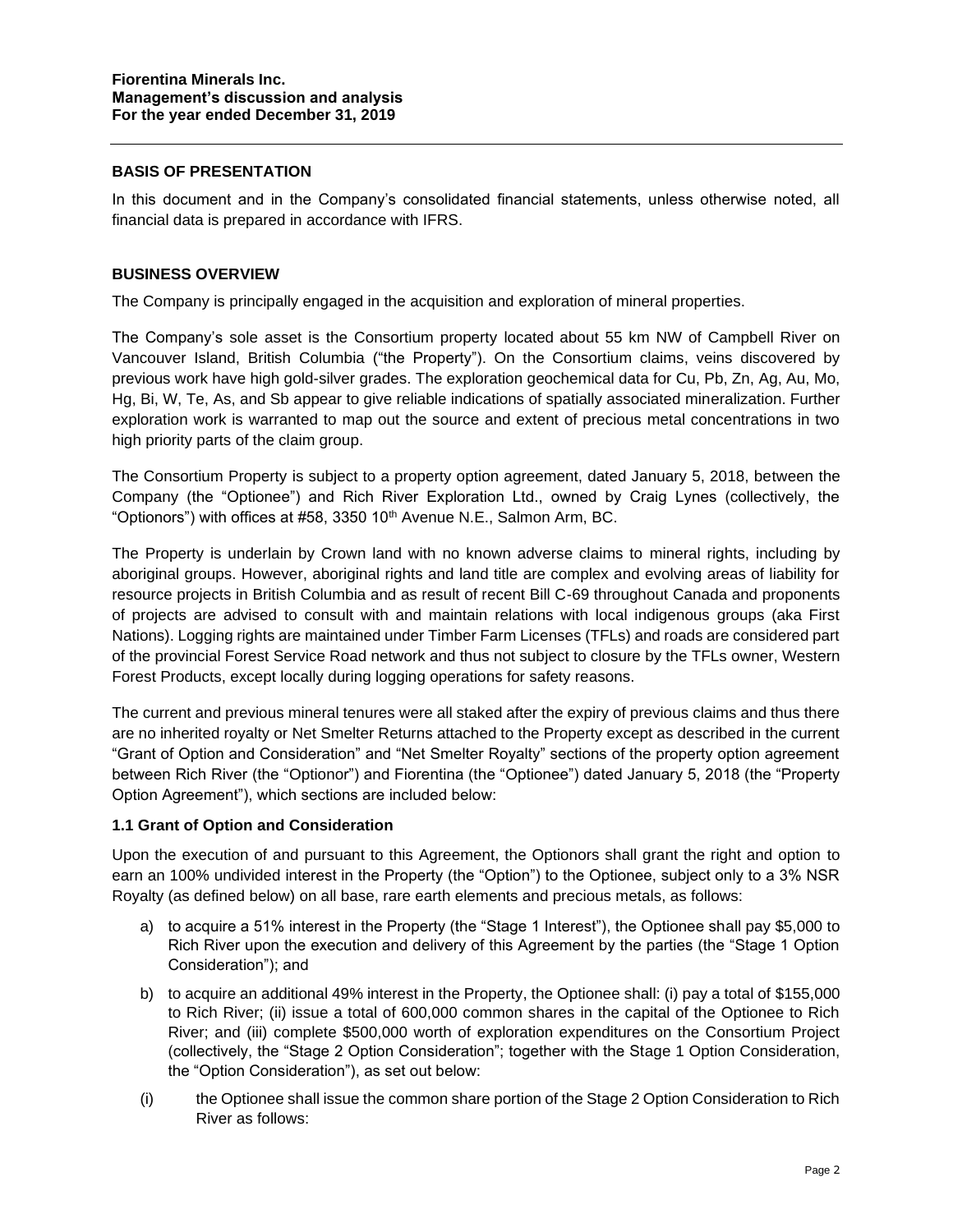### **BASIS OF PRESENTATION**

In this document and in the Company's consolidated financial statements, unless otherwise noted, all financial data is prepared in accordance with IFRS.

#### **BUSINESS OVERVIEW**

The Company is principally engaged in the acquisition and exploration of mineral properties.

The Company's sole asset is the Consortium property located about 55 km NW of Campbell River on Vancouver Island, British Columbia ("the Property"). On the Consortium claims, veins discovered by previous work have high gold-silver grades. The exploration geochemical data for Cu, Pb, Zn, Ag, Au, Mo, Hg, Bi, W, Te, As, and Sb appear to give reliable indications of spatially associated mineralization. Further exploration work is warranted to map out the source and extent of precious metal concentrations in two high priority parts of the claim group.

The Consortium Property is subject to a property option agreement, dated January 5, 2018, between the Company (the "Optionee") and Rich River Exploration Ltd., owned by Craig Lynes (collectively, the "Optionors") with offices at #58, 3350 10<sup>th</sup> Avenue N.E., Salmon Arm, BC.

The Property is underlain by Crown land with no known adverse claims to mineral rights, including by aboriginal groups. However, aboriginal rights and land title are complex and evolving areas of liability for resource projects in British Columbia and as result of recent Bill C-69 throughout Canada and proponents of projects are advised to consult with and maintain relations with local indigenous groups (aka First Nations). Logging rights are maintained under Timber Farm Licenses (TFLs) and roads are considered part of the provincial Forest Service Road network and thus not subject to closure by the TFLs owner, Western Forest Products, except locally during logging operations for safety reasons.

The current and previous mineral tenures were all staked after the expiry of previous claims and thus there are no inherited royalty or Net Smelter Returns attached to the Property except as described in the current "Grant of Option and Consideration" and "Net Smelter Royalty" sections of the property option agreement between Rich River (the "Optionor") and Fiorentina (the "Optionee") dated January 5, 2018 (the "Property Option Agreement"), which sections are included below:

#### **1.1 Grant of Option and Consideration**

Upon the execution of and pursuant to this Agreement, the Optionors shall grant the right and option to earn an 100% undivided interest in the Property (the "Option") to the Optionee, subject only to a 3% NSR Royalty (as defined below) on all base, rare earth elements and precious metals, as follows:

- a) to acquire a 51% interest in the Property (the "Stage 1 Interest"), the Optionee shall pay \$5,000 to Rich River upon the execution and delivery of this Agreement by the parties (the "Stage 1 Option Consideration"); and
- b) to acquire an additional 49% interest in the Property, the Optionee shall: (i) pay a total of \$155,000 to Rich River; (ii) issue a total of 600,000 common shares in the capital of the Optionee to Rich River; and (iii) complete \$500,000 worth of exploration expenditures on the Consortium Project (collectively, the "Stage 2 Option Consideration"; together with the Stage 1 Option Consideration, the "Option Consideration"), as set out below:
- (i) the Optionee shall issue the common share portion of the Stage 2 Option Consideration to Rich River as follows: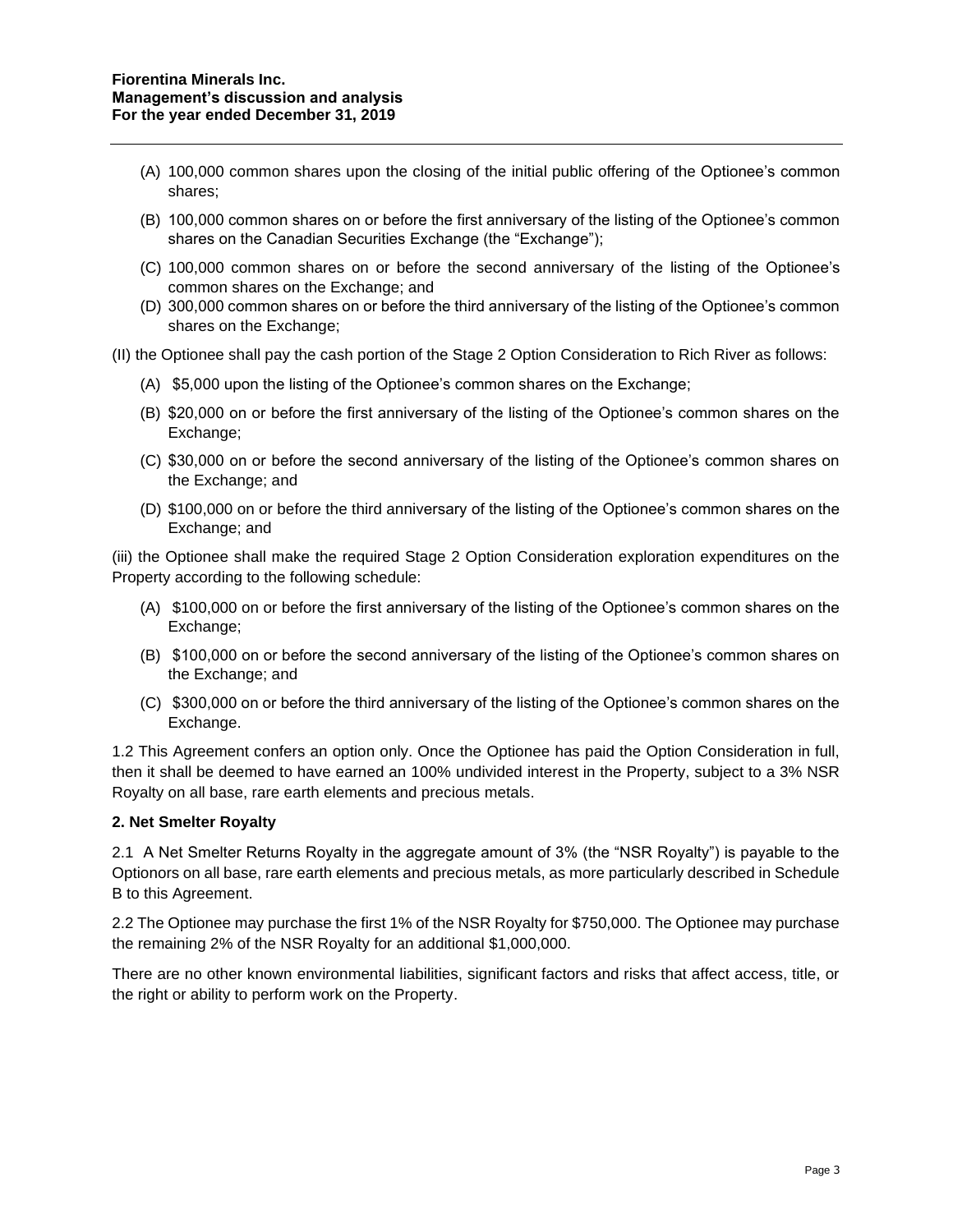- (A) 100,000 common shares upon the closing of the initial public offering of the Optionee's common shares;
- (B) 100,000 common shares on or before the first anniversary of the listing of the Optionee's common shares on the Canadian Securities Exchange (the "Exchange");
- (C) 100,000 common shares on or before the second anniversary of the listing of the Optionee's common shares on the Exchange; and
- (D) 300,000 common shares on or before the third anniversary of the listing of the Optionee's common shares on the Exchange;

(II) the Optionee shall pay the cash portion of the Stage 2 Option Consideration to Rich River as follows:

- (A) \$5,000 upon the listing of the Optionee's common shares on the Exchange;
- (B) \$20,000 on or before the first anniversary of the listing of the Optionee's common shares on the Exchange;
- (C) \$30,000 on or before the second anniversary of the listing of the Optionee's common shares on the Exchange; and
- (D) \$100,000 on or before the third anniversary of the listing of the Optionee's common shares on the Exchange; and

(iii) the Optionee shall make the required Stage 2 Option Consideration exploration expenditures on the Property according to the following schedule:

- (A) \$100,000 on or before the first anniversary of the listing of the Optionee's common shares on the Exchange;
- (B) \$100,000 on or before the second anniversary of the listing of the Optionee's common shares on the Exchange; and
- (C) \$300,000 on or before the third anniversary of the listing of the Optionee's common shares on the Exchange.

1.2 This Agreement confers an option only. Once the Optionee has paid the Option Consideration in full, then it shall be deemed to have earned an 100% undivided interest in the Property, subject to a 3% NSR Royalty on all base, rare earth elements and precious metals.

## **2. Net Smelter Royalty**

2.1 A Net Smelter Returns Royalty in the aggregate amount of 3% (the "NSR Royalty") is payable to the Optionors on all base, rare earth elements and precious metals, as more particularly described in Schedule B to this Agreement.

2.2 The Optionee may purchase the first 1% of the NSR Royalty for \$750,000. The Optionee may purchase the remaining 2% of the NSR Royalty for an additional \$1,000,000.

There are no other known environmental liabilities, significant factors and risks that affect access, title, or the right or ability to perform work on the Property.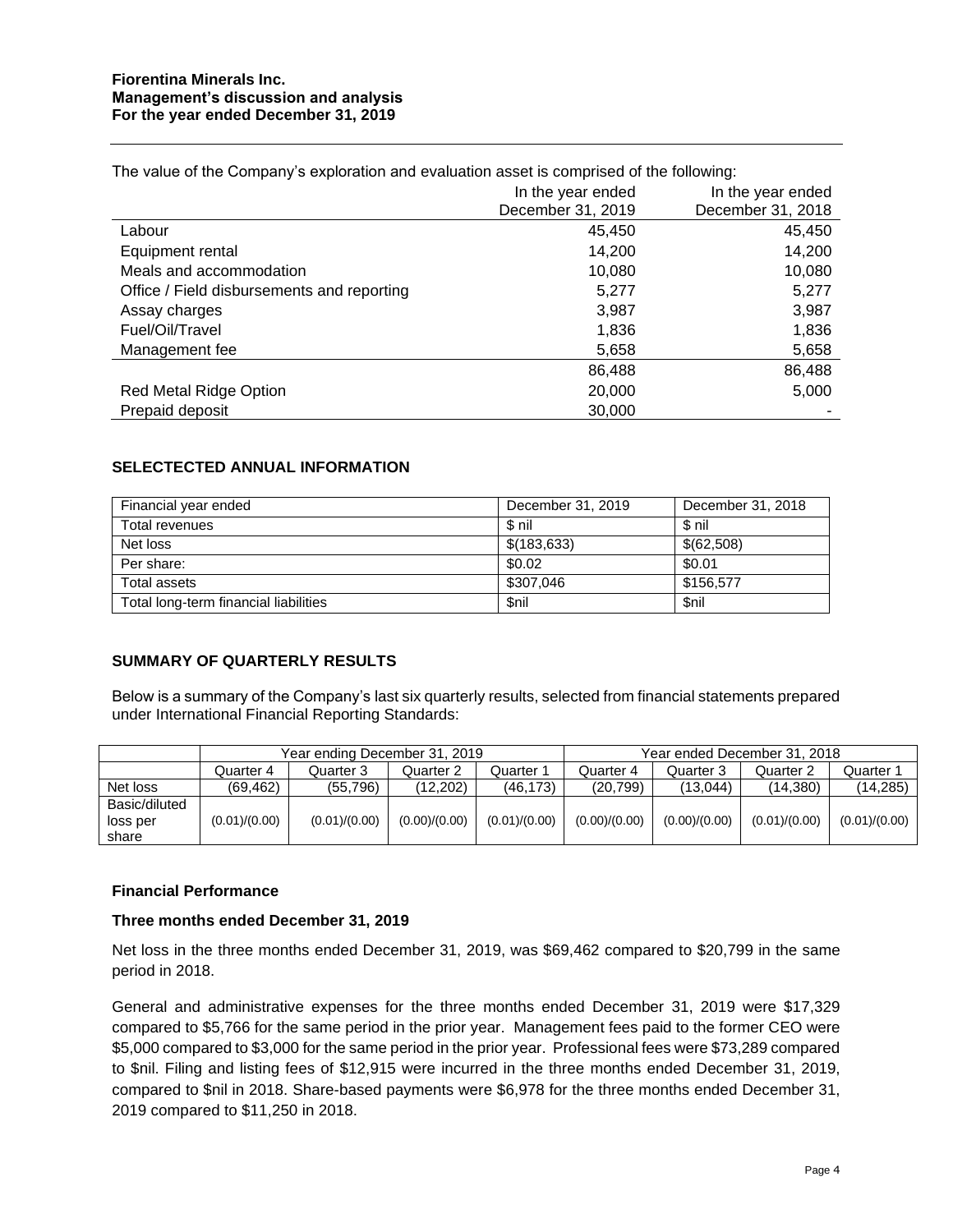|                                            | In the year ended | In the year ended |
|--------------------------------------------|-------------------|-------------------|
|                                            | December 31, 2019 | December 31, 2018 |
| Labour                                     | 45,450            | 45,450            |
| Equipment rental                           | 14.200            | 14,200            |
| Meals and accommodation                    | 10,080            | 10,080            |
| Office / Field disbursements and reporting | 5,277             | 5,277             |
| Assay charges                              | 3,987             | 3,987             |
| Fuel/Oil/Travel                            | 1,836             | 1,836             |
| Management fee                             | 5,658             | 5,658             |
|                                            | 86,488            | 86,488            |
| <b>Red Metal Ridge Option</b>              | 20,000            | 5,000             |
| Prepaid deposit                            | 30,000            |                   |

The value of the Company's exploration and evaluation asset is comprised of the following:

## **SELECTECTED ANNUAL INFORMATION**

| Financial year ended                  | December 31, 2019 | December 31, 2018 |
|---------------------------------------|-------------------|-------------------|
| Total revenues                        | \$ nil            | \$nil             |
| Net loss                              | \$(183, 633)      | \$(62,508)        |
| Per share:                            | \$0.02            | \$0.01            |
| Total assets                          | \$307,046         | \$156.577         |
| Total long-term financial liabilities | <b>Snil</b>       | \$nil             |

#### **SUMMARY OF QUARTERLY RESULTS**

Below is a summary of the Company's last six quarterly results, selected from financial statements prepared under International Financial Reporting Standards:

|               | Year ending December 31, 2019 |               | Year ended December 31, 2018 |               |               |               |               |               |
|---------------|-------------------------------|---------------|------------------------------|---------------|---------------|---------------|---------------|---------------|
|               | Quarter 4                     | Quarter 3     | Quarter 2                    | Quarter 1     | Quarter 4     | Quarter 3     | Quarter 2     | Quarter 1     |
| Net loss      | (69.462)                      | (55, 796)     | (12.202)                     | (46, 173)     | (20, 799)     | (13.044)      | (14, 380)     | (14, 285)     |
| Basic/diluted |                               |               |                              |               |               |               |               |               |
| loss per      | (0.01)/(0.00)                 | (0.01)/(0.00) | (0.00)/(0.00)                | (0.01)/(0.00) | (0.00)/(0.00) | (0.00)/(0.00) | (0.01)/(0.00) | (0.01)/(0.00) |
| share         |                               |               |                              |               |               |               |               |               |

#### **Financial Performance**

#### **Three months ended December 31, 2019**

Net loss in the three months ended December 31, 2019, was \$69,462 compared to \$20,799 in the same period in 2018.

General and administrative expenses for the three months ended December 31, 2019 were \$17,329 compared to \$5,766 for the same period in the prior year. Management fees paid to the former CEO were \$5,000 compared to \$3,000 for the same period in the prior year. Professional fees were \$73,289 compared to \$nil. Filing and listing fees of \$12,915 were incurred in the three months ended December 31, 2019, compared to \$nil in 2018. Share-based payments were \$6,978 for the three months ended December 31, 2019 compared to \$11,250 in 2018.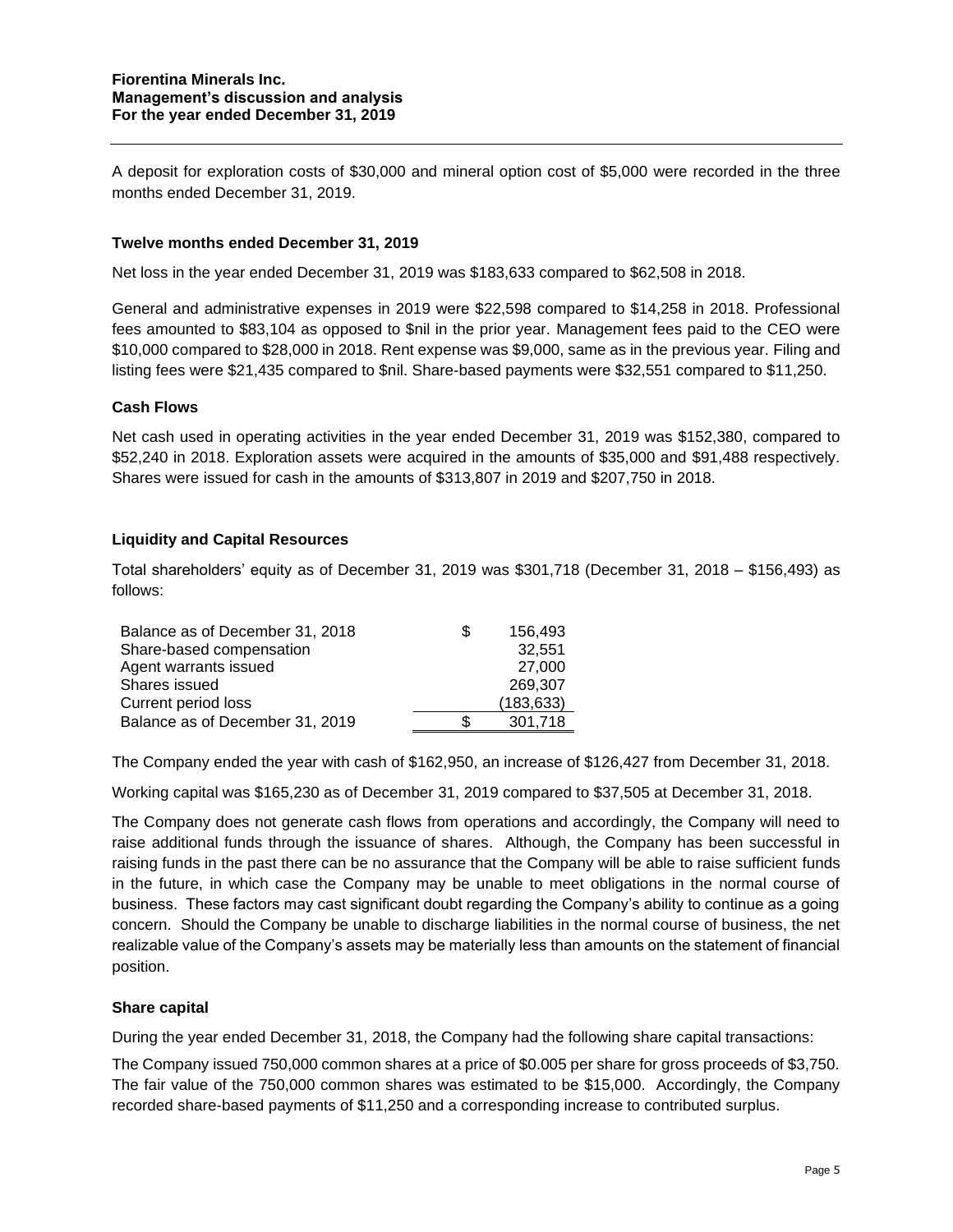A deposit for exploration costs of \$30,000 and mineral option cost of \$5,000 were recorded in the three months ended December 31, 2019.

### **Twelve months ended December 31, 2019**

Net loss in the year ended December 31, 2019 was \$183,633 compared to \$62,508 in 2018.

General and administrative expenses in 2019 were \$22,598 compared to \$14,258 in 2018. Professional fees amounted to \$83,104 as opposed to \$nil in the prior year. Management fees paid to the CEO were \$10,000 compared to \$28,000 in 2018. Rent expense was \$9,000, same as in the previous year. Filing and listing fees were \$21,435 compared to \$nil. Share-based payments were \$32,551 compared to \$11,250.

#### **Cash Flows**

Net cash used in operating activities in the year ended December 31, 2019 was \$152,380, compared to \$52,240 in 2018. Exploration assets were acquired in the amounts of \$35,000 and \$91,488 respectively. Shares were issued for cash in the amounts of \$313,807 in 2019 and \$207,750 in 2018.

## **Liquidity and Capital Resources**

Total shareholders' equity as of December 31, 2019 was \$301,718 (December 31, 2018 – \$156,493) as follows:

| Balance as of December 31, 2018 | S  | 156.493    |
|---------------------------------|----|------------|
| Share-based compensation        |    | 32.551     |
| Agent warrants issued           |    | 27,000     |
| Shares issued                   |    | 269.307    |
| Current period loss             |    | (183, 633) |
| Balance as of December 31, 2019 | ß. | 301,718    |

The Company ended the year with cash of \$162,950, an increase of \$126,427 from December 31, 2018.

Working capital was \$165,230 as of December 31, 2019 compared to \$37,505 at December 31, 2018.

The Company does not generate cash flows from operations and accordingly, the Company will need to raise additional funds through the issuance of shares. Although, the Company has been successful in raising funds in the past there can be no assurance that the Company will be able to raise sufficient funds in the future, in which case the Company may be unable to meet obligations in the normal course of business. These factors may cast significant doubt regarding the Company's ability to continue as a going concern. Should the Company be unable to discharge liabilities in the normal course of business, the net realizable value of the Company's assets may be materially less than amounts on the statement of financial position.

#### **Share capital**

During the year ended December 31, 2018, the Company had the following share capital transactions:

The Company issued 750,000 common shares at a price of \$0.005 per share for gross proceeds of \$3,750. The fair value of the 750,000 common shares was estimated to be \$15,000. Accordingly, the Company recorded share-based payments of \$11,250 and a corresponding increase to contributed surplus.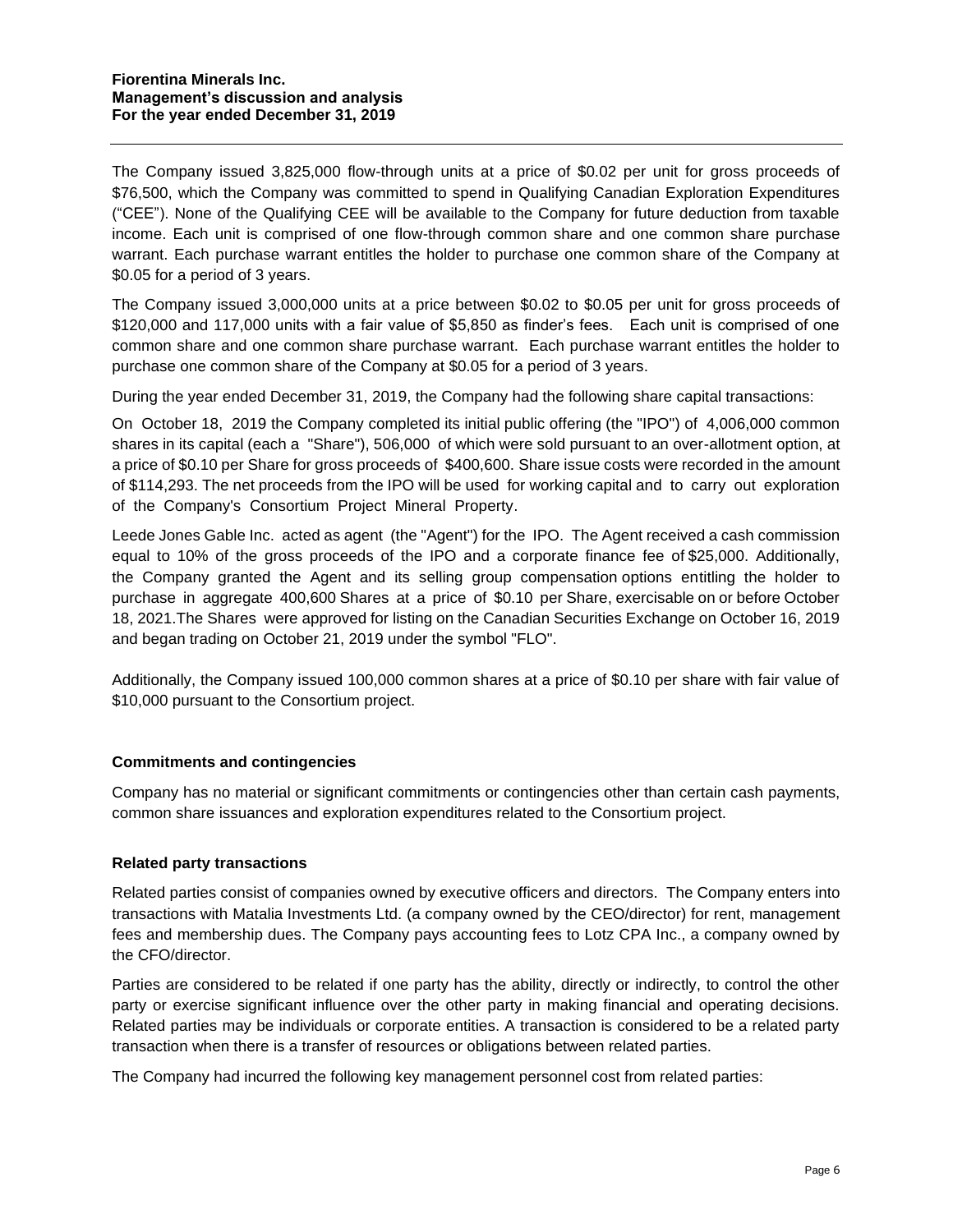The Company issued 3,825,000 flow-through units at a price of \$0.02 per unit for gross proceeds of \$76,500, which the Company was committed to spend in Qualifying Canadian Exploration Expenditures ("CEE"). None of the Qualifying CEE will be available to the Company for future deduction from taxable income. Each unit is comprised of one flow-through common share and one common share purchase warrant. Each purchase warrant entitles the holder to purchase one common share of the Company at \$0.05 for a period of 3 years.

The Company issued 3,000,000 units at a price between \$0.02 to \$0.05 per unit for gross proceeds of \$120,000 and 117,000 units with a fair value of \$5,850 as finder's fees. Each unit is comprised of one common share and one common share purchase warrant. Each purchase warrant entitles the holder to purchase one common share of the Company at \$0.05 for a period of 3 years.

During the year ended December 31, 2019, the Company had the following share capital transactions:

On October 18, 2019 the Company completed its initial public offering (the "IPO") of 4,006,000 common shares in its capital (each a "Share"), 506,000 of which were sold pursuant to an over-allotment option, at a price of \$0.10 per Share for gross proceeds of \$400,600. Share issue costs were recorded in the amount of \$114,293. The net proceeds from the IPO will be used for working capital and to carry out exploration of the Company's Consortium Project Mineral Property.

Leede Jones Gable Inc. acted as agent (the "Agent") for the IPO. The Agent received a cash commission equal to 10% of the gross proceeds of the IPO and a corporate finance fee of \$25,000. Additionally, the Company granted the Agent and its selling group compensation options entitling the holder to purchase in aggregate 400,600 Shares at a price of \$0.10 per Share, exercisable on or before October 18, 2021.The Shares were approved for listing on the Canadian Securities Exchange on October 16, 2019 and began trading on October 21, 2019 under the symbol "FLO".

Additionally, the Company issued 100,000 common shares at a price of \$0.10 per share with fair value of \$10,000 pursuant to the Consortium project.

## **Commitments and contingencies**

Company has no material or significant commitments or contingencies other than certain cash payments, common share issuances and exploration expenditures related to the Consortium project.

## **Related party transactions**

Related parties consist of companies owned by executive officers and directors. The Company enters into transactions with Matalia Investments Ltd. (a company owned by the CEO/director) for rent, management fees and membership dues. The Company pays accounting fees to Lotz CPA Inc., a company owned by the CFO/director.

Parties are considered to be related if one party has the ability, directly or indirectly, to control the other party or exercise significant influence over the other party in making financial and operating decisions. Related parties may be individuals or corporate entities. A transaction is considered to be a related party transaction when there is a transfer of resources or obligations between related parties.

The Company had incurred the following key management personnel cost from related parties: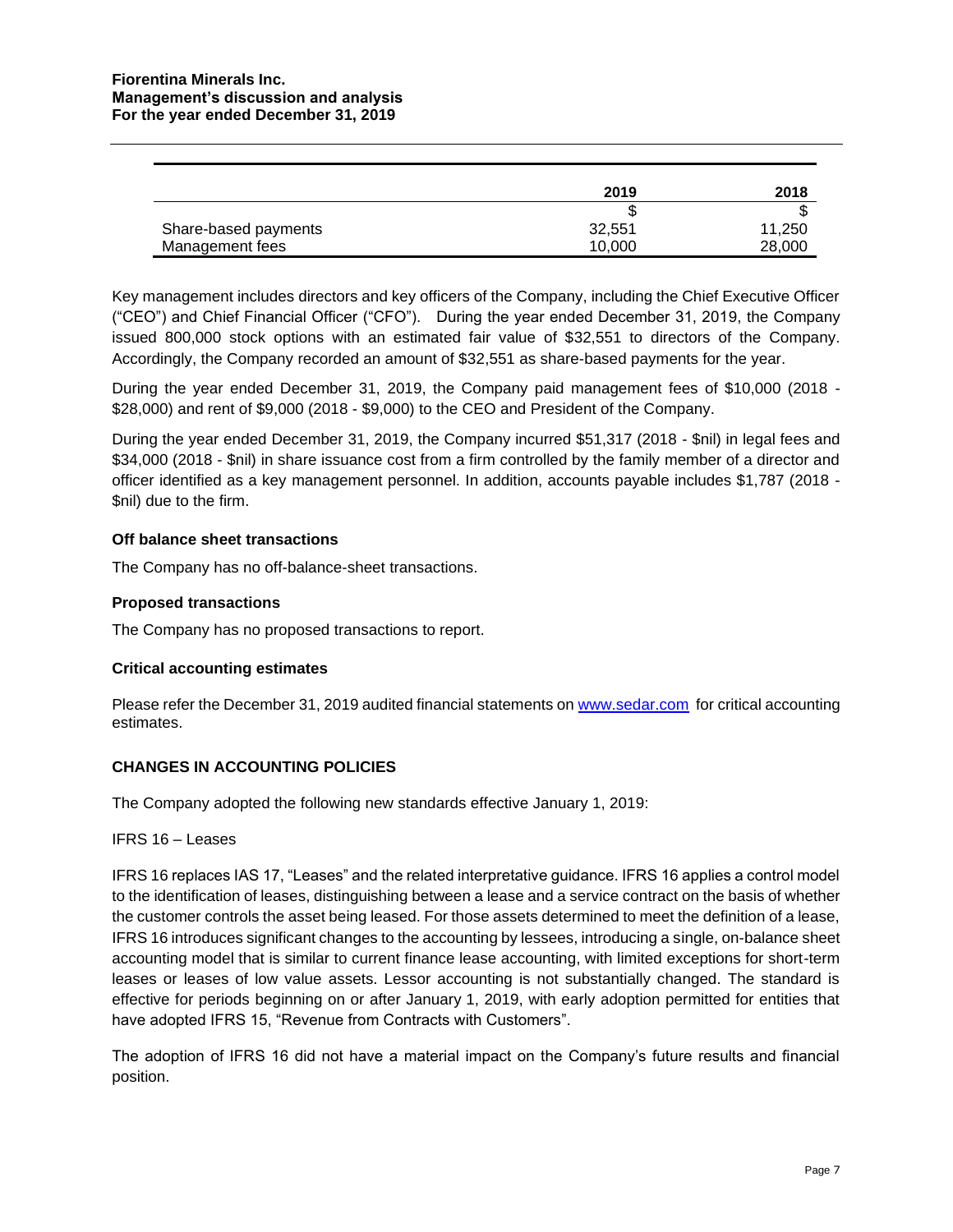|                      | 2019   | 2018   |
|----------------------|--------|--------|
|                      |        |        |
| Share-based payments | 32.551 | 11,250 |
| Management fees      | 10.000 | 28,000 |

Key management includes directors and key officers of the Company, including the Chief Executive Officer ("CEO") and Chief Financial Officer ("CFO"). During the year ended December 31, 2019, the Company issued 800,000 stock options with an estimated fair value of \$32,551 to directors of the Company. Accordingly, the Company recorded an amount of \$32,551 as share-based payments for the year.

During the year ended December 31, 2019, the Company paid management fees of \$10,000 (2018 - \$28,000) and rent of \$9,000 (2018 - \$9,000) to the CEO and President of the Company.

During the year ended December 31, 2019, the Company incurred \$51,317 (2018 - \$nil) in legal fees and \$34,000 (2018 - \$nil) in share issuance cost from a firm controlled by the family member of a director and officer identified as a key management personnel. In addition, accounts payable includes \$1,787 (2018 - \$nil) due to the firm.

### **Off balance sheet transactions**

The Company has no off-balance-sheet transactions.

### **Proposed transactions**

The Company has no proposed transactions to report.

#### **Critical accounting estimates**

Please refer the December 31, 2019 audited financial statements on [www.sedar.com](http://www.sedar.com/) for critical accounting estimates.

## **CHANGES IN ACCOUNTING POLICIES**

The Company adopted the following new standards effective January 1, 2019:

#### IFRS 16 – Leases

IFRS 16 replaces IAS 17, "Leases" and the related interpretative guidance. IFRS 16 applies a control model to the identification of leases, distinguishing between a lease and a service contract on the basis of whether the customer controls the asset being leased. For those assets determined to meet the definition of a lease, IFRS 16 introduces significant changes to the accounting by lessees, introducing a single, on-balance sheet accounting model that is similar to current finance lease accounting, with limited exceptions for short-term leases or leases of low value assets. Lessor accounting is not substantially changed. The standard is effective for periods beginning on or after January 1, 2019, with early adoption permitted for entities that have adopted IFRS 15, "Revenue from Contracts with Customers".

The adoption of IFRS 16 did not have a material impact on the Company's future results and financial position.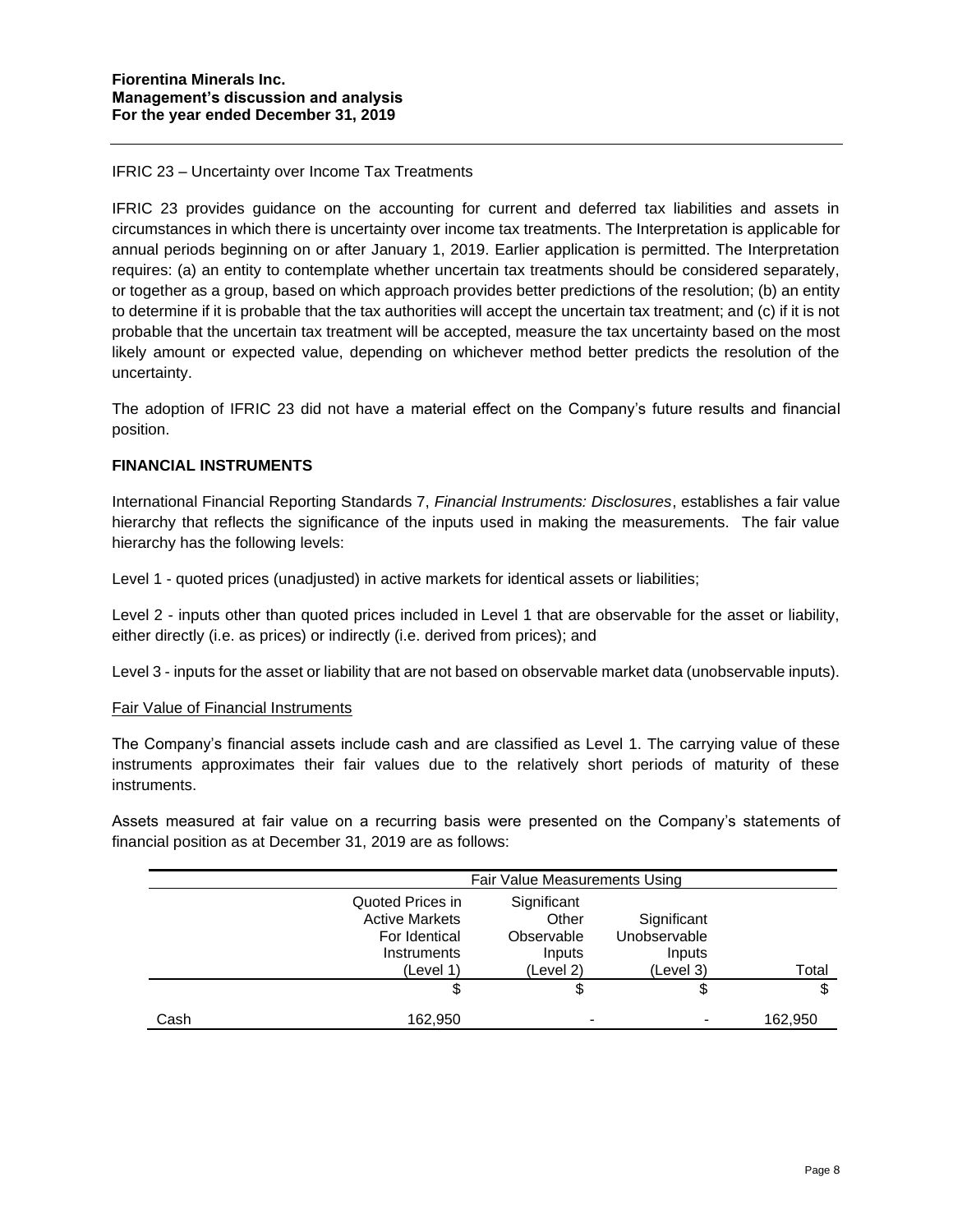### IFRIC 23 – Uncertainty over Income Tax Treatments

IFRIC 23 provides guidance on the accounting for current and deferred tax liabilities and assets in circumstances in which there is uncertainty over income tax treatments. The Interpretation is applicable for annual periods beginning on or after January 1, 2019. Earlier application is permitted. The Interpretation requires: (a) an entity to contemplate whether uncertain tax treatments should be considered separately, or together as a group, based on which approach provides better predictions of the resolution; (b) an entity to determine if it is probable that the tax authorities will accept the uncertain tax treatment; and (c) if it is not probable that the uncertain tax treatment will be accepted, measure the tax uncertainty based on the most likely amount or expected value, depending on whichever method better predicts the resolution of the uncertainty.

The adoption of IFRIC 23 did not have a material effect on the Company's future results and financial position.

#### **FINANCIAL INSTRUMENTS**

International Financial Reporting Standards 7, *Financial Instruments: Disclosures*, establishes a fair value hierarchy that reflects the significance of the inputs used in making the measurements. The fair value hierarchy has the following levels:

Level 1 - quoted prices (unadjusted) in active markets for identical assets or liabilities;

Level 2 - inputs other than quoted prices included in Level 1 that are observable for the asset or liability, either directly (i.e. as prices) or indirectly (i.e. derived from prices); and

Level 3 - inputs for the asset or liability that are not based on observable market data (unobservable inputs).

#### Fair Value of Financial Instruments

The Company's financial assets include cash and are classified as Level 1. The carrying value of these instruments approximates their fair values due to the relatively short periods of maturity of these instruments.

Assets measured at fair value on a recurring basis were presented on the Company's statements of financial position as at December 31, 2019 are as follows:

|      | Fair Value Measurements Using                                                          |                                                           |                                                    |         |
|------|----------------------------------------------------------------------------------------|-----------------------------------------------------------|----------------------------------------------------|---------|
|      | Quoted Prices in<br><b>Active Markets</b><br>For Identical<br>Instruments<br>(Level 1) | Significant<br>Other<br>Observable<br>Inputs<br>(Level 2) | Significant<br>Unobservable<br>Inputs<br>(Level 3) | Total   |
|      | \$                                                                                     | \$                                                        | \$                                                 | \$      |
| Cash | 162,950                                                                                | $\,$                                                      |                                                    | 162.950 |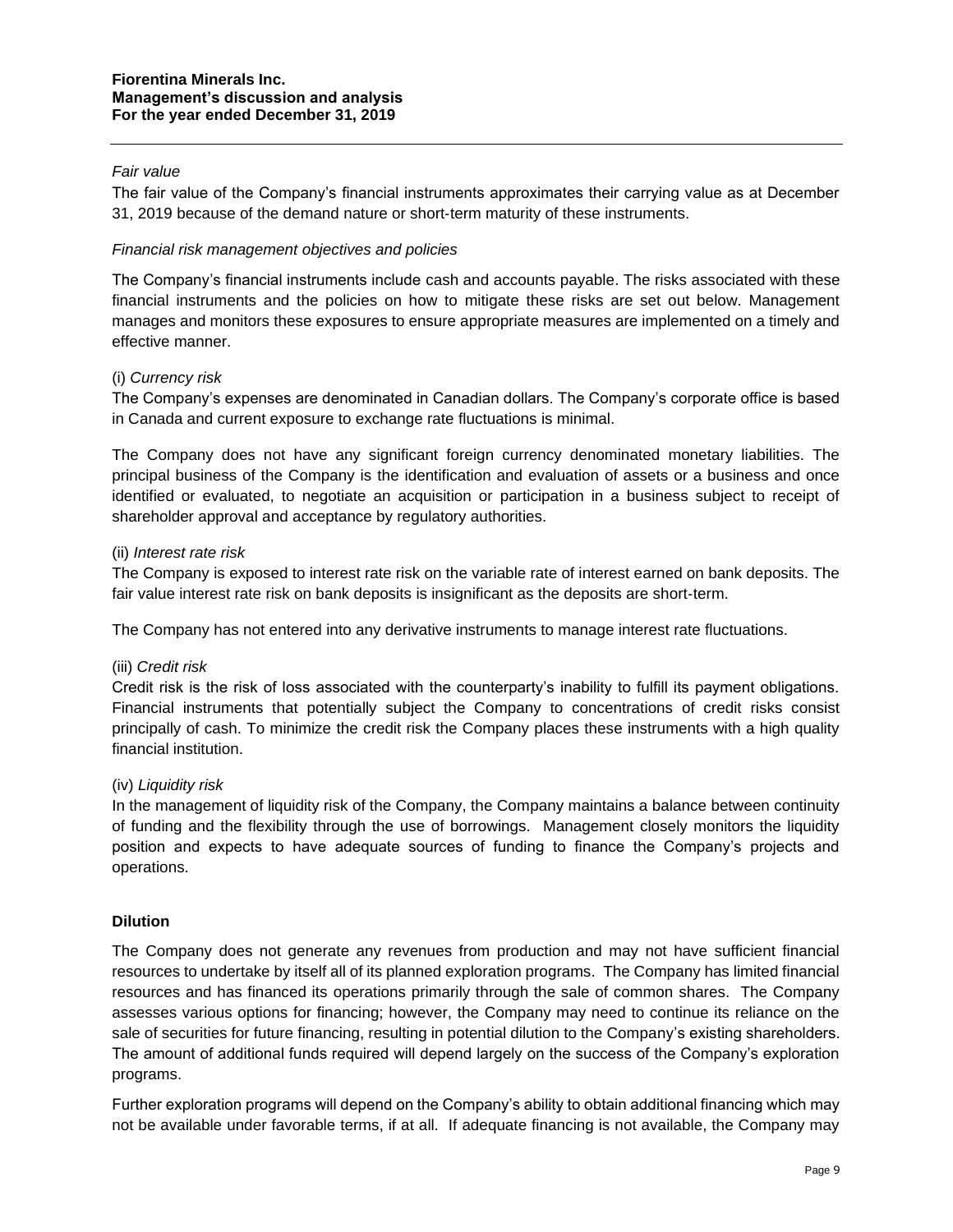### *Fair value*

The fair value of the Company's financial instruments approximates their carrying value as at December 31, 2019 because of the demand nature or short‐term maturity of these instruments.

#### *Financial risk management objectives and policies*

The Company's financial instruments include cash and accounts payable. The risks associated with these financial instruments and the policies on how to mitigate these risks are set out below. Management manages and monitors these exposures to ensure appropriate measures are implemented on a timely and effective manner.

#### (i) *Currency risk*

The Company's expenses are denominated in Canadian dollars. The Company's corporate office is based in Canada and current exposure to exchange rate fluctuations is minimal.

The Company does not have any significant foreign currency denominated monetary liabilities. The principal business of the Company is the identification and evaluation of assets or a business and once identified or evaluated, to negotiate an acquisition or participation in a business subject to receipt of shareholder approval and acceptance by regulatory authorities.

#### (ii) *Interest rate risk*

The Company is exposed to interest rate risk on the variable rate of interest earned on bank deposits. The fair value interest rate risk on bank deposits is insignificant as the deposits are short-term.

The Company has not entered into any derivative instruments to manage interest rate fluctuations.

#### (iii) *Credit risk*

Credit risk is the risk of loss associated with the counterparty's inability to fulfill its payment obligations. Financial instruments that potentially subject the Company to concentrations of credit risks consist principally of cash. To minimize the credit risk the Company places these instruments with a high quality financial institution.

#### (iv) *Liquidity risk*

In the management of liquidity risk of the Company, the Company maintains a balance between continuity of funding and the flexibility through the use of borrowings. Management closely monitors the liquidity position and expects to have adequate sources of funding to finance the Company's projects and operations.

#### **Dilution**

The Company does not generate any revenues from production and may not have sufficient financial resources to undertake by itself all of its planned exploration programs. The Company has limited financial resources and has financed its operations primarily through the sale of common shares. The Company assesses various options for financing; however, the Company may need to continue its reliance on the sale of securities for future financing, resulting in potential dilution to the Company's existing shareholders. The amount of additional funds required will depend largely on the success of the Company's exploration programs.

Further exploration programs will depend on the Company's ability to obtain additional financing which may not be available under favorable terms, if at all. If adequate financing is not available, the Company may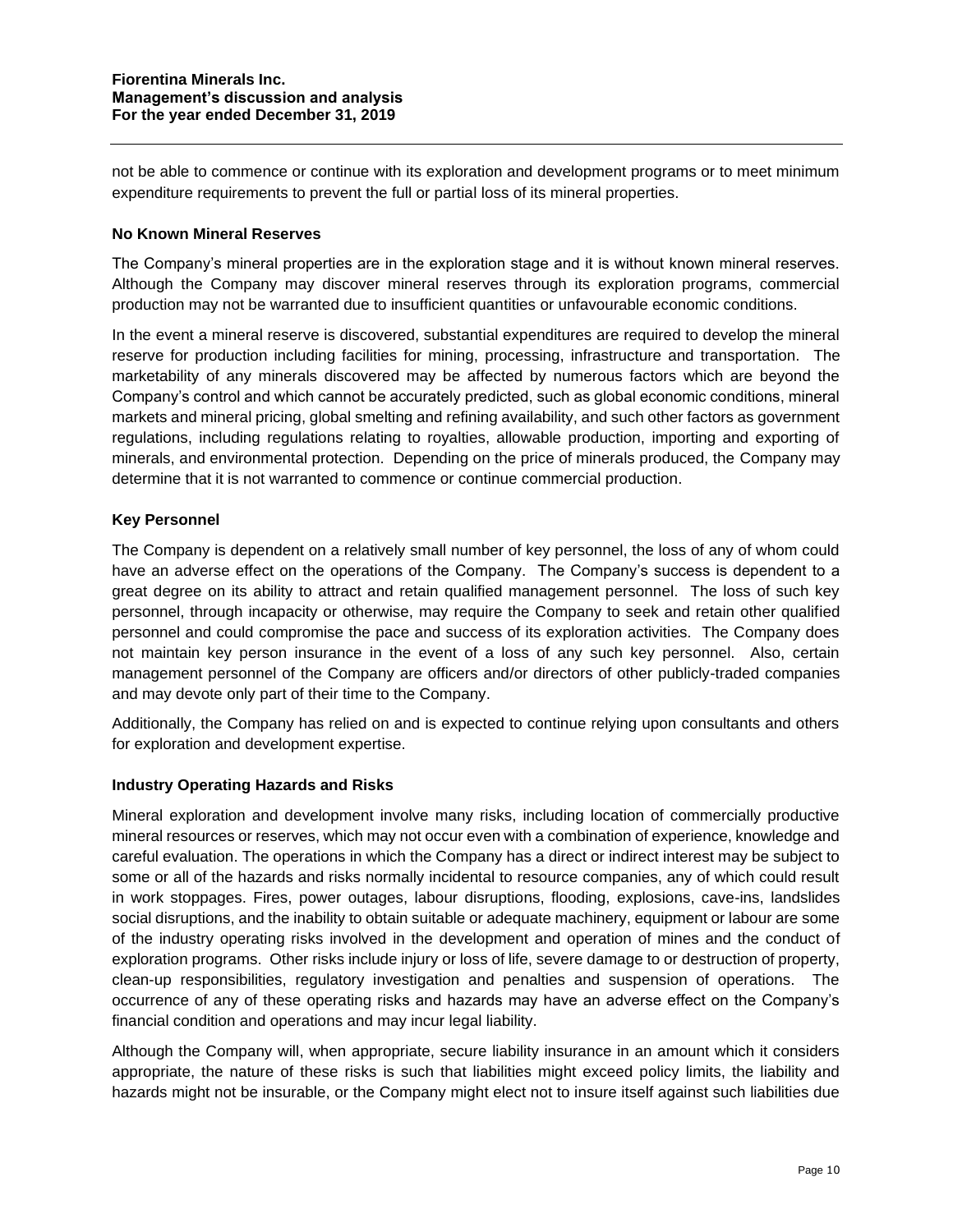not be able to commence or continue with its exploration and development programs or to meet minimum expenditure requirements to prevent the full or partial loss of its mineral properties.

#### **No Known Mineral Reserves**

The Company's mineral properties are in the exploration stage and it is without known mineral reserves. Although the Company may discover mineral reserves through its exploration programs, commercial production may not be warranted due to insufficient quantities or unfavourable economic conditions.

In the event a mineral reserve is discovered, substantial expenditures are required to develop the mineral reserve for production including facilities for mining, processing, infrastructure and transportation. The marketability of any minerals discovered may be affected by numerous factors which are beyond the Company's control and which cannot be accurately predicted, such as global economic conditions, mineral markets and mineral pricing, global smelting and refining availability, and such other factors as government regulations, including regulations relating to royalties, allowable production, importing and exporting of minerals, and environmental protection. Depending on the price of minerals produced, the Company may determine that it is not warranted to commence or continue commercial production.

## **Key Personnel**

The Company is dependent on a relatively small number of key personnel, the loss of any of whom could have an adverse effect on the operations of the Company. The Company's success is dependent to a great degree on its ability to attract and retain qualified management personnel. The loss of such key personnel, through incapacity or otherwise, may require the Company to seek and retain other qualified personnel and could compromise the pace and success of its exploration activities. The Company does not maintain key person insurance in the event of a loss of any such key personnel. Also, certain management personnel of the Company are officers and/or directors of other publicly-traded companies and may devote only part of their time to the Company.

Additionally, the Company has relied on and is expected to continue relying upon consultants and others for exploration and development expertise.

#### **Industry Operating Hazards and Risks**

Mineral exploration and development involve many risks, including location of commercially productive mineral resources or reserves, which may not occur even with a combination of experience, knowledge and careful evaluation. The operations in which the Company has a direct or indirect interest may be subject to some or all of the hazards and risks normally incidental to resource companies, any of which could result in work stoppages. Fires, power outages, labour disruptions, flooding, explosions, cave-ins, landslides social disruptions, and the inability to obtain suitable or adequate machinery, equipment or labour are some of the industry operating risks involved in the development and operation of mines and the conduct of exploration programs. Other risks include injury or loss of life, severe damage to or destruction of property, clean-up responsibilities, regulatory investigation and penalties and suspension of operations. The occurrence of any of these operating risks and hazards may have an adverse effect on the Company's financial condition and operations and may incur legal liability.

Although the Company will, when appropriate, secure liability insurance in an amount which it considers appropriate, the nature of these risks is such that liabilities might exceed policy limits, the liability and hazards might not be insurable, or the Company might elect not to insure itself against such liabilities due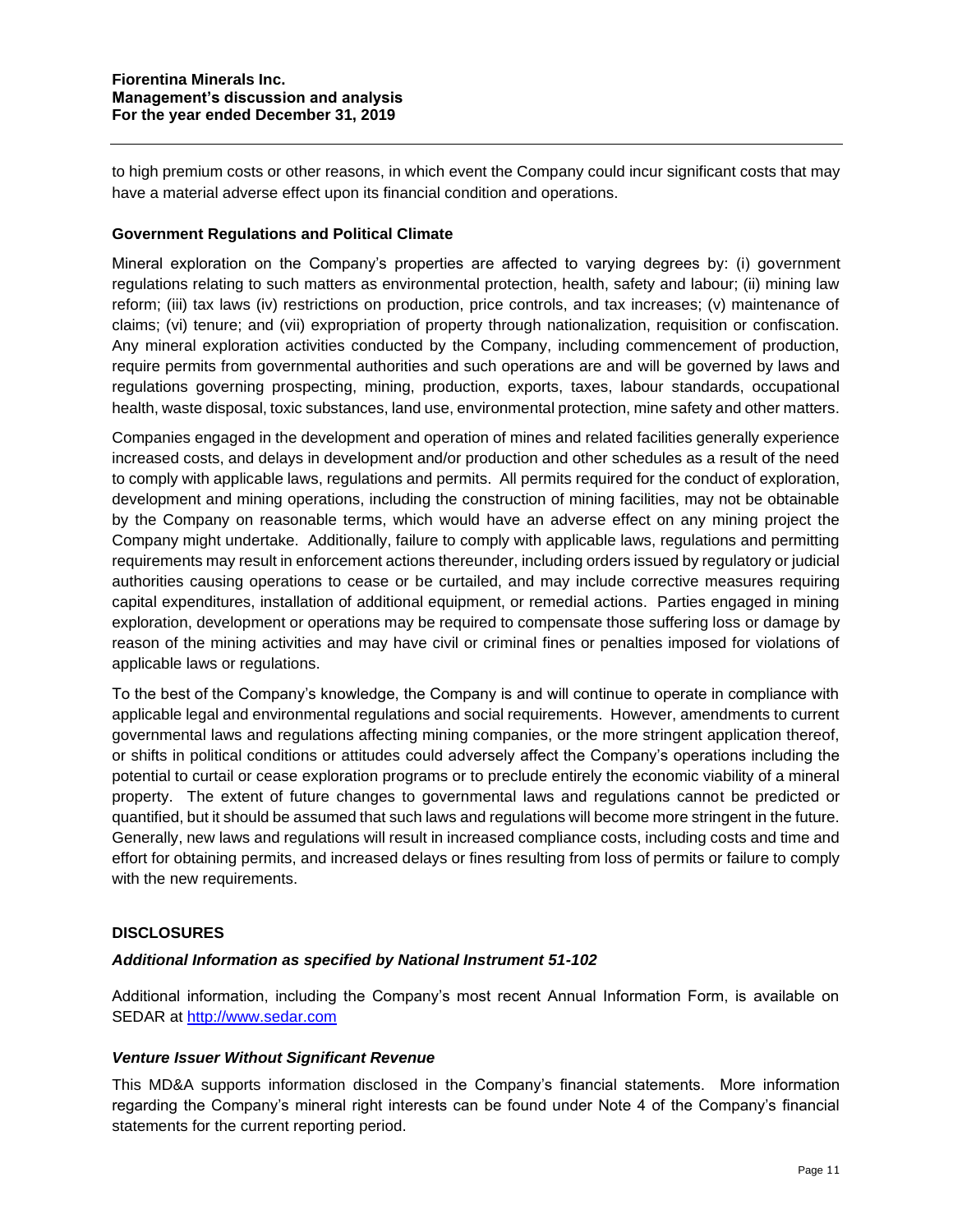to high premium costs or other reasons, in which event the Company could incur significant costs that may have a material adverse effect upon its financial condition and operations.

### **Government Regulations and Political Climate**

Mineral exploration on the Company's properties are affected to varying degrees by: (i) government regulations relating to such matters as environmental protection, health, safety and labour; (ii) mining law reform; (iii) tax laws (iv) restrictions on production, price controls, and tax increases; (v) maintenance of claims; (vi) tenure; and (vii) expropriation of property through nationalization, requisition or confiscation. Any mineral exploration activities conducted by the Company, including commencement of production, require permits from governmental authorities and such operations are and will be governed by laws and regulations governing prospecting, mining, production, exports, taxes, labour standards, occupational health, waste disposal, toxic substances, land use, environmental protection, mine safety and other matters.

Companies engaged in the development and operation of mines and related facilities generally experience increased costs, and delays in development and/or production and other schedules as a result of the need to comply with applicable laws, regulations and permits. All permits required for the conduct of exploration, development and mining operations, including the construction of mining facilities, may not be obtainable by the Company on reasonable terms, which would have an adverse effect on any mining project the Company might undertake. Additionally, failure to comply with applicable laws, regulations and permitting requirements may result in enforcement actions thereunder, including orders issued by regulatory or judicial authorities causing operations to cease or be curtailed, and may include corrective measures requiring capital expenditures, installation of additional equipment, or remedial actions. Parties engaged in mining exploration, development or operations may be required to compensate those suffering loss or damage by reason of the mining activities and may have civil or criminal fines or penalties imposed for violations of applicable laws or regulations.

To the best of the Company's knowledge, the Company is and will continue to operate in compliance with applicable legal and environmental regulations and social requirements. However, amendments to current governmental laws and regulations affecting mining companies, or the more stringent application thereof, or shifts in political conditions or attitudes could adversely affect the Company's operations including the potential to curtail or cease exploration programs or to preclude entirely the economic viability of a mineral property. The extent of future changes to governmental laws and regulations cannot be predicted or quantified, but it should be assumed that such laws and regulations will become more stringent in the future. Generally, new laws and regulations will result in increased compliance costs, including costs and time and effort for obtaining permits, and increased delays or fines resulting from loss of permits or failure to comply with the new requirements.

## **DISCLOSURES**

#### *Additional Information as specified by National Instrument 51-102*

Additional information, including the Company's most recent Annual Information Form, is available on SEDAR at [http://www.sedar.com](http://www.sedar.com/)

## *Venture Issuer Without Significant Revenue*

This MD&A supports information disclosed in the Company's financial statements. More information regarding the Company's mineral right interests can be found under Note 4 of the Company's financial statements for the current reporting period.